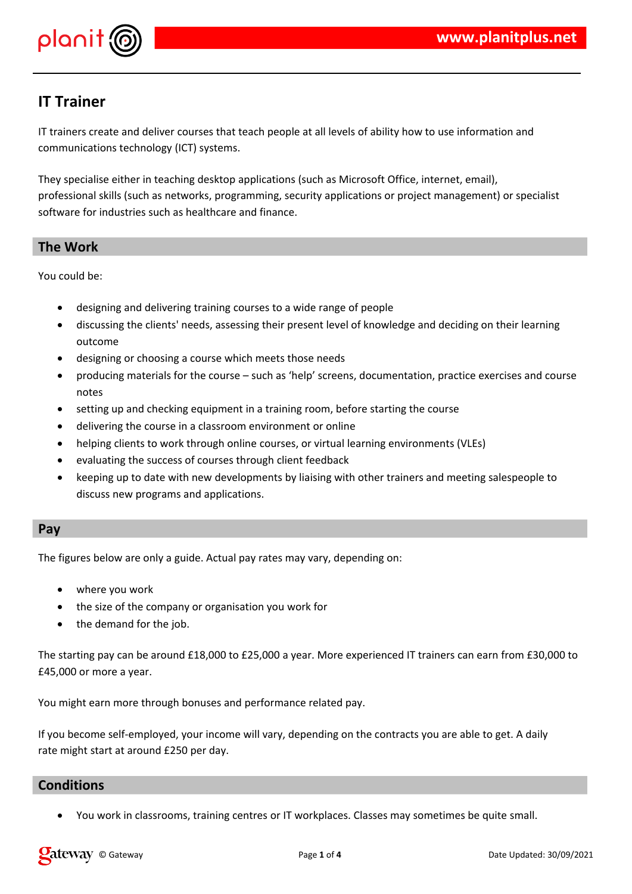

# **IT Trainer**

IT trainers create and deliver courses that teach people at all levels of ability how to use information and communications technology (ICT) systems.

They specialise either in teaching desktop applications (such as Microsoft Office, internet, email), professional skills (such as networks, programming, security applications or project management) or specialist software for industries such as healthcare and finance.

# **The Work**

You could be:

- designing and delivering training courses to a wide range of people
- discussing the clients' needs, assessing their present level of knowledge and deciding on their learning outcome
- designing or choosing a course which meets those needs
- producing materials for the course such as 'help' screens, documentation, practice exercises and course notes
- setting up and checking equipment in a training room, before starting the course
- delivering the course in a classroom environment or online
- helping clients to work through online courses, or virtual learning environments (VLEs)
- evaluating the success of courses through client feedback
- keeping up to date with new developments by liaising with other trainers and meeting salespeople to discuss new programs and applications.

# **Pay**

The figures below are only a guide. Actual pay rates may vary, depending on:

- where you work
- the size of the company or organisation you work for
- the demand for the job.

The starting pay can be around £18,000 to £25,000 a year. More experienced IT trainers can earn from £30,000 to £45,000 or more a year.

You might earn more through bonuses and performance related pay.

If you become self-employed, your income will vary, depending on the contracts you are able to get. A daily rate might start at around £250 per day.

# **Conditions**

You work in classrooms, training centres or IT workplaces. Classes may sometimes be quite small.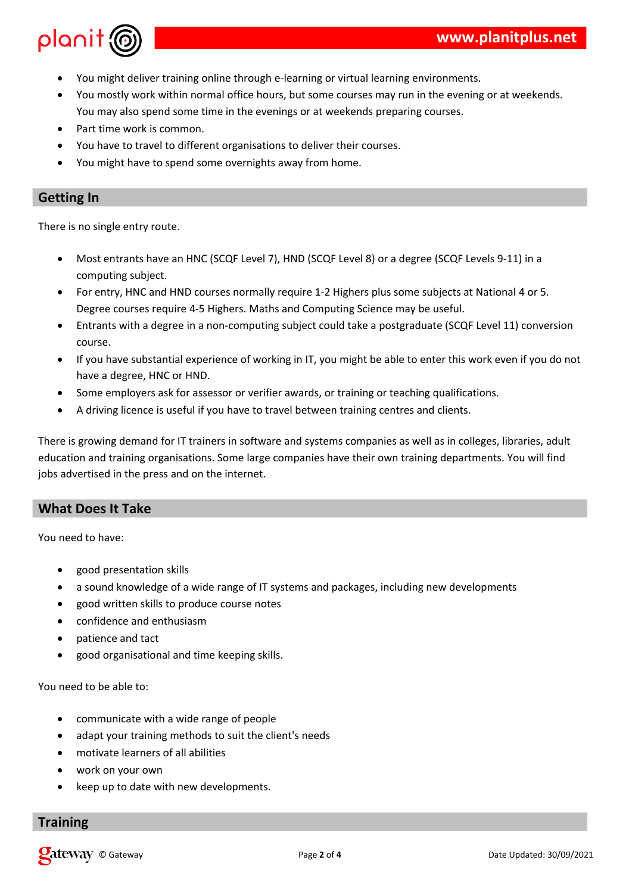

- You might deliver training online through e-learning or virtual learning environments.
- You mostly work within normal office hours, but some courses may run in the evening or at weekends. You may also spend some time in the evenings or at weekends preparing courses.
- Part time work is common.
- You have to travel to different organisations to deliver their courses.
- You might have to spend some overnights away from home.

### **Getting In**

There is no single entry route.

- Most entrants have an HNC (SCQF Level 7), HND (SCQF Level 8) or a degree (SCQF Levels 9-11) in a computing subject.
- For entry, HNC and HND courses normally require 1-2 Highers plus some subjects at National 4 or 5. Degree courses require 4-5 Highers. Maths and Computing Science may be useful.
- Entrants with a degree in a non-computing subject could take a postgraduate (SCQF Level 11) conversion course.
- If you have substantial experience of working in IT, you might be able to enter this work even if you do not have a degree, HNC or HND.
- Some employers ask for assessor or verifier awards, or training or teaching qualifications.
- A driving licence is useful if you have to travel between training centres and clients.

There is growing demand for IT trainers in software and systems companies as well as in colleges, libraries, adult education and training organisations. Some large companies have their own training departments. You will find jobs advertised in the press and on the internet.

# **What Does It Take**

You need to have:

- good presentation skills
- a sound knowledge of a wide range of IT systems and packages, including new developments
- good written skills to produce course notes
- confidence and enthusiasm
- patience and tact
- good organisational and time keeping skills.

You need to be able to:

- communicate with a wide range of people
- adapt your training methods to suit the client's needs
- motivate learners of all abilities
- work on your own
- keep up to date with new developments.

#### **Training**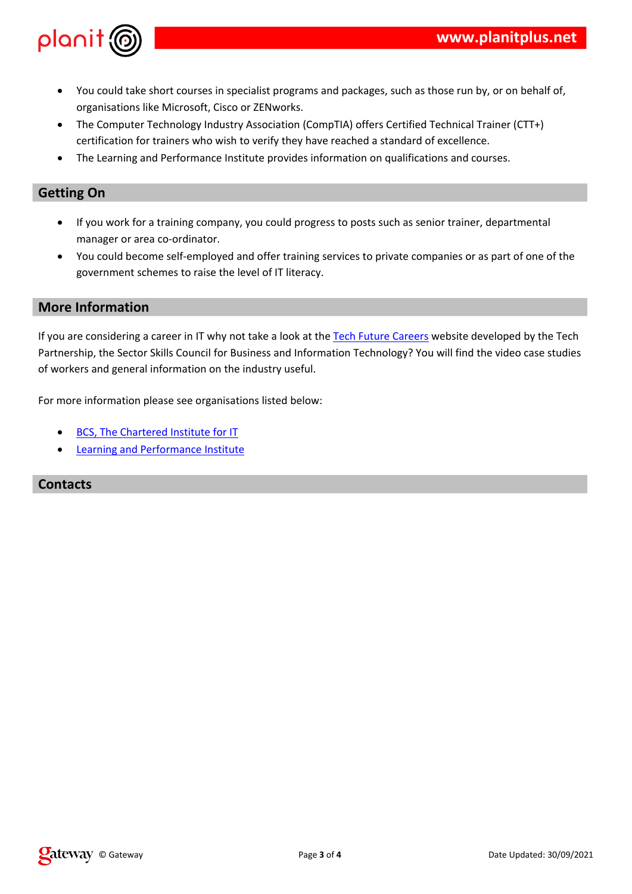|   | $! \frac{9}{6}$ #<br>$\mathbf{I}$<br>$\mathbf{I}$<br>$5\phantom{.0}$ | + % D6? ( '<br>7 \$%#7&%<br>$\Gamma$ and $\Gamma$ is a set of the set of the $\Gamma$<br># | $\#$ ( +! !<br>2<br>$3$ #                                                | $" +"$<br>$9\%$ E $8$<br><b>Contract Contract</b><br>$\mathbf{I}$ |
|---|----------------------------------------------------------------------|--------------------------------------------------------------------------------------------|--------------------------------------------------------------------------|-------------------------------------------------------------------|
|   |                                                                      |                                                                                            |                                                                          |                                                                   |
|   | $\#$                                                                 | #<br>$\pm$<br><b>Contract Contract</b><br>$=$                                              | $\mathbf{I}$                                                             | #<br>$+$                                                          |
|   | $\mathbf{H}^{\text{max}}$ and<br>#<br>$\frac{1}{2}$<br>#             | $=$ #<br>$\sim$ 1.<br>$\mathbf{I}$                                                         | $\#$                                                                     |                                                                   |
|   |                                                                      |                                                                                            |                                                                          |                                                                   |
|   | $+$ ! $@$<br>$\mathbf{I}$                                            | $\begin{array}{ccc} & & \\ \end{array}$ ( (<br>@ (F %<br>#<br>$\mathbf{L}$<br>#!           | $\frac{1}{1}$ $\frac{1}{1}$ B $\frac{1}{2}$ % "<br>$G -$<br>$\sim 1$ and | $\mathbf H$<br>Ţ<br>$\sim$ $\sim$ $\sim$ $\sim$                   |
| B | #<br>#                                                               | $\pmb{\mathsf{H}}$                                                                         |                                                                          |                                                                   |
|   | $F\% @ +   \%$<br>$\overline{5}$<br>$\mathbf{u}$                     | #                                                                                          |                                                                          |                                                                   |